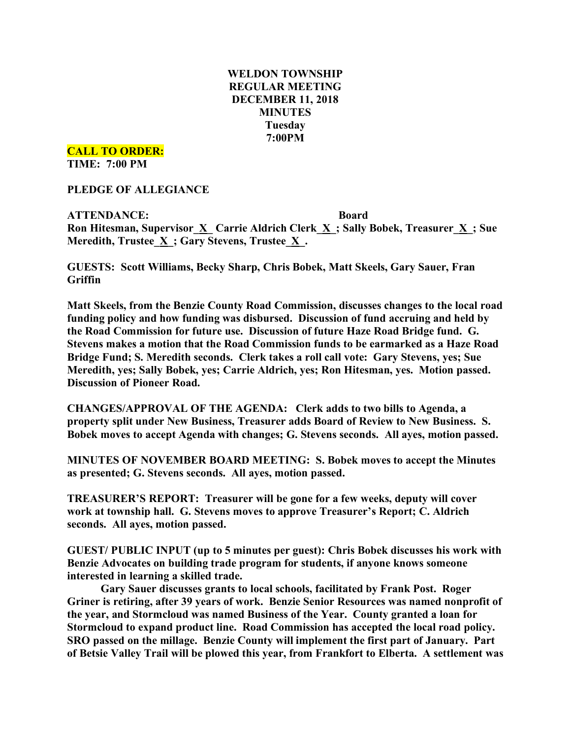# **WELDON TOWNSHIP REGULAR MEETING DECEMBER 11, 2018 MINUTES Tuesday 7:00PM**

**CALL TO ORDER:**

**TIME: 7:00 PM**

**PLEDGE OF ALLEGIANCE**

**ATTENDANCE: Board Ron Hitesman, Supervisor\_X\_ Carrie Aldrich Clerk\_X\_; Sally Bobek, Treasurer\_X\_; Sue Meredith, Trustee\_X\_; Gary Stevens, Trustee\_X\_.**

**GUESTS: Scott Williams, Becky Sharp, Chris Bobek, Matt Skeels, Gary Sauer, Fran Griffin**

**Matt Skeels, from the Benzie County Road Commission, discusses changes to the local road funding policy and how funding was disbursed. Discussion of fund accruing and held by the Road Commission for future use. Discussion of future Haze Road Bridge fund. G. Stevens makes a motion that the Road Commission funds to be earmarked as a Haze Road Bridge Fund; S. Meredith seconds. Clerk takes a roll call vote: Gary Stevens, yes; Sue Meredith, yes; Sally Bobek, yes; Carrie Aldrich, yes; Ron Hitesman, yes. Motion passed. Discussion of Pioneer Road.**

**CHANGES/APPROVAL OF THE AGENDA: Clerk adds to two bills to Agenda, a property split under New Business, Treasurer adds Board of Review to New Business. S. Bobek moves to accept Agenda with changes; G. Stevens seconds. All ayes, motion passed.**

**MINUTES OF NOVEMBER BOARD MEETING: S. Bobek moves to accept the Minutes as presented; G. Stevens seconds. All ayes, motion passed.**

**TREASURER'S REPORT: Treasurer will be gone for a few weeks, deputy will cover work at township hall. G. Stevens moves to approve Treasurer's Report; C. Aldrich seconds. All ayes, motion passed.**

**GUEST/ PUBLIC INPUT (up to 5 minutes per guest): Chris Bobek discusses his work with Benzie Advocates on building trade program for students, if anyone knows someone interested in learning a skilled trade.**

**Gary Sauer discusses grants to local schools, facilitated by Frank Post. Roger Griner is retiring, after 39 years of work. Benzie Senior Resources was named nonprofit of the year, and Stormcloud was named Business of the Year. County granted a loan for Stormcloud to expand product line. Road Commission has accepted the local road policy. SRO passed on the millage. Benzie County will implement the first part of January. Part of Betsie Valley Trail will be plowed this year, from Frankfort to Elberta. A settlement was**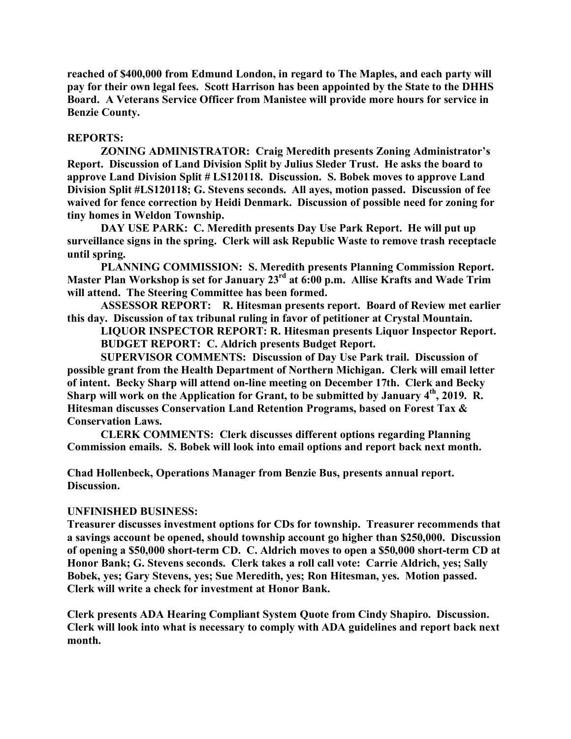**reached of \$400,000 from Edmund London, in regard to The Maples, and each party will pay for their own legal fees. Scott Harrison has been appointed by the State to the DHHS Board. A Veterans Service Officer from Manistee will provide more hours for service in Benzie County.**

# **REPORTS:**

**ZONING ADMINISTRATOR: Craig Meredith presents Zoning Administrator's Report. Discussion of Land Division Split by Julius Sleder Trust. He asks the board to approve Land Division Split # LS120118. Discussion. S. Bobek moves to approve Land Division Split #LS120118; G. Stevens seconds. All ayes, motion passed. Discussion of fee waived for fence correction by Heidi Denmark. Discussion of possible need for zoning for tiny homes in Weldon Township.**

**DAY USE PARK: C. Meredith presents Day Use Park Report. He will put up surveillance signs in the spring. Clerk will ask Republic Waste to remove trash receptacle until spring.**

**PLANNING COMMISSION: S. Meredith presents Planning Commission Report. Master Plan Workshop is set for January 23rd at 6:00 p.m. Allise Krafts and Wade Trim will attend. The Steering Committee has been formed.**

**ASSESSOR REPORT: R. Hitesman presents report. Board of Review met earlier this day. Discussion of tax tribunal ruling in favor of petitioner at Crystal Mountain.**

**LIQUOR INSPECTOR REPORT: R. Hitesman presents Liquor Inspector Report. BUDGET REPORT: C. Aldrich presents Budget Report.**

**SUPERVISOR COMMENTS: Discussion of Day Use Park trail. Discussion of possible grant from the Health Department of Northern Michigan. Clerk will email letter of intent. Becky Sharp will attend on-line meeting on December 17th. Clerk and Becky Sharp will work on the Application for Grant, to be submitted by January 4th, 2019. R. Hitesman discusses Conservation Land Retention Programs, based on Forest Tax & Conservation Laws.**

**CLERK COMMENTS: Clerk discusses different options regarding Planning Commission emails. S. Bobek will look into email options and report back next month.**

**Chad Hollenbeck, Operations Manager from Benzie Bus, presents annual report. Discussion.**

#### **UNFINISHED BUSINESS:**

**Treasurer discusses investment options for CDs for township. Treasurer recommends that a savings account be opened, should township account go higher than \$250,000. Discussion of opening a \$50,000 short-term CD. C. Aldrich moves to open a \$50,000 short-term CD at Honor Bank; G. Stevens seconds. Clerk takes a roll call vote: Carrie Aldrich, yes; Sally Bobek, yes; Gary Stevens, yes; Sue Meredith, yes; Ron Hitesman, yes. Motion passed. Clerk will write a check for investment at Honor Bank.**

**Clerk presents ADA Hearing Compliant System Quote from Cindy Shapiro. Discussion. Clerk will look into what is necessary to comply with ADA guidelines and report back next month.**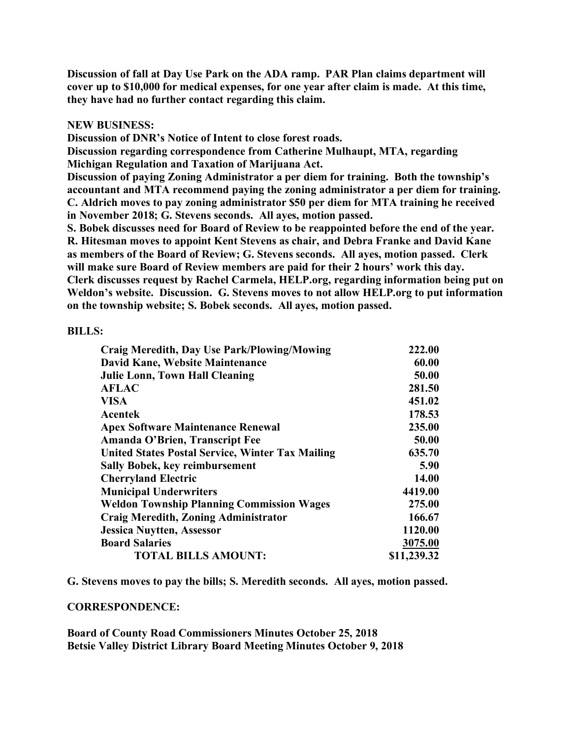**Discussion of fall at Day Use Park on the ADA ramp. PAR Plan claims department will cover up to \$10,000 for medical expenses, for one year after claim is made. At this time, they have had no further contact regarding this claim.**

### **NEW BUSINESS:**

**Discussion of DNR's Notice of Intent to close forest roads.**

**Discussion regarding correspondence from Catherine Mulhaupt, MTA, regarding Michigan Regulation and Taxation of Marijuana Act.**

**Discussion of paying Zoning Administrator a per diem for training. Both the township's accountant and MTA recommend paying the zoning administrator a per diem for training. C. Aldrich moves to pay zoning administrator \$50 per diem for MTA training he received in November 2018; G. Stevens seconds. All ayes, motion passed.**

**S. Bobek discusses need for Board of Review to be reappointed before the end of the year. R. Hitesman moves to appoint Kent Stevens as chair, and Debra Franke and David Kane as members of the Board of Review; G. Stevens seconds. All ayes, motion passed. Clerk will make sure Board of Review members are paid for their 2 hours' work this day. Clerk discusses request by Rachel Carmela, HELP.org, regarding information being put on Weldon's website. Discussion. G. Stevens moves to not allow HELP.org to put information on the township website; S. Bobek seconds. All ayes, motion passed.**

#### **BILLS:**

| <b>Craig Meredith, Day Use Park/Plowing/Mowing</b>      | 222.00      |
|---------------------------------------------------------|-------------|
| David Kane, Website Maintenance                         | 60.00       |
| <b>Julie Lonn, Town Hall Cleaning</b>                   | 50.00       |
| <b>AFLAC</b>                                            | 281.50      |
| <b>VISA</b>                                             | 451.02      |
| Acentek                                                 | 178.53      |
| <b>Apex Software Maintenance Renewal</b>                | 235.00      |
| Amanda O'Brien, Transcript Fee                          | 50.00       |
| <b>United States Postal Service, Winter Tax Mailing</b> | 635.70      |
| <b>Sally Bobek, key reimbursement</b>                   | 5.90        |
| <b>Cherryland Electric</b>                              | 14.00       |
| <b>Municipal Underwriters</b>                           | 4419.00     |
| <b>Weldon Township Planning Commission Wages</b>        | 275.00      |
| <b>Craig Meredith, Zoning Administrator</b>             | 166.67      |
| <b>Jessica Nuytten, Assessor</b>                        | 1120.00     |
| <b>Board Salaries</b>                                   | 3075.00     |
| <b>TOTAL BILLS AMOUNT:</b>                              | \$11,239.32 |

**G. Stevens moves to pay the bills; S. Meredith seconds. All ayes, motion passed.**

# **CORRESPONDENCE:**

**Board of County Road Commissioners Minutes October 25, 2018 Betsie Valley District Library Board Meeting Minutes October 9, 2018**